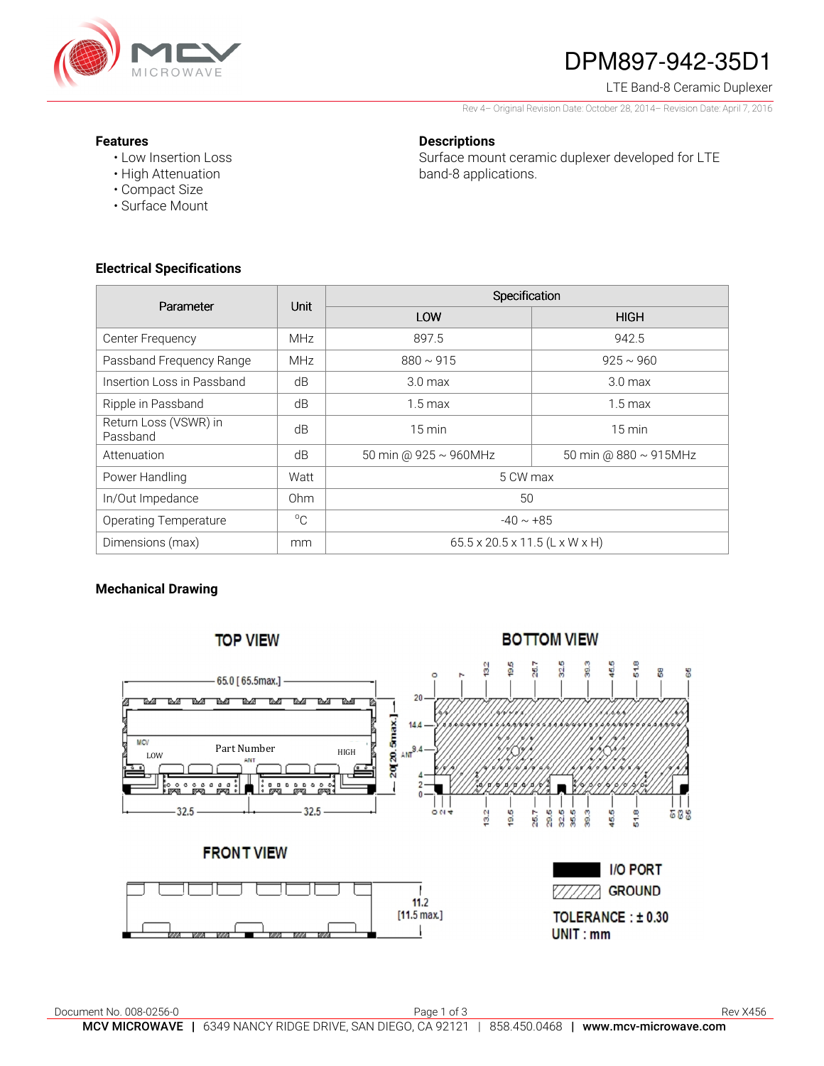

# DPM897-942-35D1

#### LTE Band-8 Ceramic Duplexer

Rev 4– Original Revision Date: October 28, 2014– Revision Date: April 7, 2016

### **Features**

• Low Insertion Loss • High Attenuation

• Compact Size • Surface Mount

### **Descriptions**

Surface mount ceramic duplexer developed for LTE band-8 applications.

**Electrical Specifications** 

| Parameter                         | Unit            | Specification                  |                             |
|-----------------------------------|-----------------|--------------------------------|-----------------------------|
|                                   |                 | LOW                            | <b>HIGH</b>                 |
| Center Frequency                  | <b>MHz</b>      | 897.5                          | 942.5                       |
| Passband Frequency Range          | <b>MHz</b>      | $880 \sim 915$                 | $925 \sim 960$              |
| Insertion Loss in Passband        | dB              | 3.0 <sub>max</sub>             | 3.0 <sub>max</sub>          |
| Ripple in Passband                | dB              | $1.5 \,\mathrm{max}$           | $1.5 \,\mathrm{max}$        |
| Return Loss (VSWR) in<br>Passband | dB              | $15 \text{ min}$               | $15 \text{ min}$            |
| Attenuation                       | dB              | 50 min @ 925 ~ 960MHz          | 50 min @ $880 \sim 915$ MHz |
| Power Handling                    | Watt            | 5 CW max                       |                             |
| In/Out Impedance                  | 0 <sub>hm</sub> | 50                             |                             |
| <b>Operating Temperature</b>      | $^{\circ}$ C    | $-40 \sim +85$                 |                             |
| Dimensions (max)                  | mm              | 65.5 x 20.5 x 11.5 (L x W x H) |                             |

## **Mechanical Drawing**

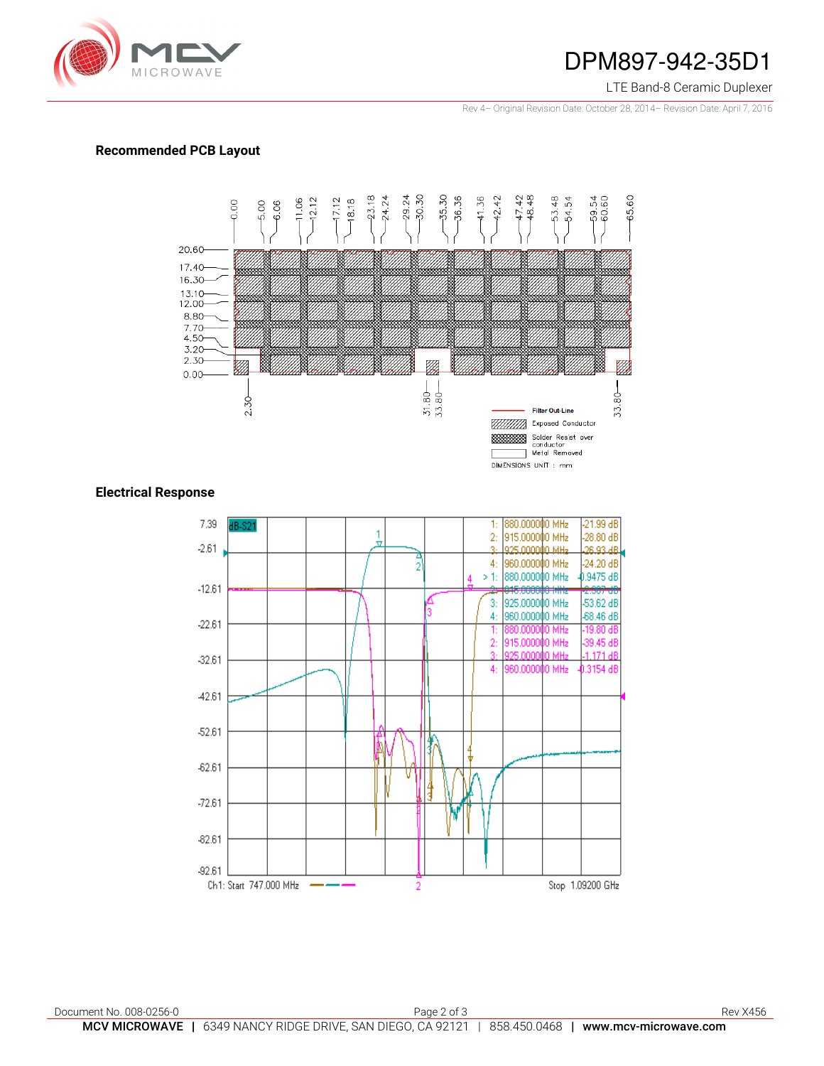

## DPM897-942-35D1

#### LTE Band-8 Ceramic Duplexer

Rev 4– Original Revision Date: October 28, 2014– Revision Date: April 7, 2016

### **Recommended PCB Layout**



## **Electrical Response**